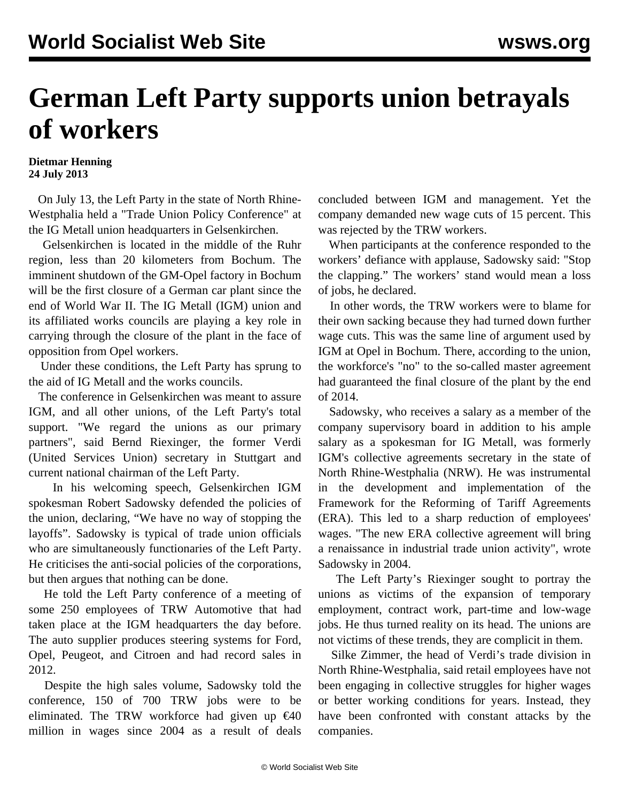## **German Left Party supports union betrayals of workers**

## **Dietmar Henning 24 July 2013**

 On July 13, the Left Party in the state of North Rhine-Westphalia held a "Trade Union Policy Conference" at the IG Metall union headquarters in Gelsenkirchen.

 Gelsenkirchen is located in the middle of the Ruhr region, less than 20 kilometers from Bochum. The imminent shutdown of the GM-Opel factory in Bochum will be the first closure of a German car plant since the end of World War II. The IG Metall (IGM) union and its affiliated works councils are playing a key role in carrying through the closure of the plant in the face of opposition from Opel workers.

 Under these conditions, the Left Party has sprung to the aid of IG Metall and the works councils.

 The conference in Gelsenkirchen was meant to assure IGM, and all other unions, of the Left Party's total support. "We regard the unions as our primary partners", said Bernd Riexinger, the former Verdi (United Services Union) secretary in Stuttgart and current national chairman of the Left Party.

 In his welcoming speech, Gelsenkirchen IGM spokesman Robert Sadowsky defended the policies of the union, declaring, "We have no way of stopping the layoffs". Sadowsky is typical of trade union officials who are simultaneously functionaries of the Left Party. He criticises the anti-social policies of the corporations, but then argues that nothing can be done.

 He told the Left Party conference of a meeting of some 250 employees of TRW Automotive that had taken place at the IGM headquarters the day before. The auto supplier produces steering systems for Ford, Opel, Peugeot, and Citroen and had record sales in 2012.

 Despite the high sales volume, Sadowsky told the conference, 150 of 700 TRW jobs were to be eliminated. The TRW workforce had given up  $€40$ million in wages since 2004 as a result of deals

concluded between IGM and management. Yet the company demanded new wage cuts of 15 percent. This was rejected by the TRW workers.

 When participants at the conference responded to the workers' defiance with applause, Sadowsky said: "Stop the clapping." The workers' stand would mean a loss of jobs, he declared.

 In other words, the TRW workers were to blame for their own sacking because they had turned down further wage cuts. This was the same line of argument used by IGM at Opel in Bochum. There, according to the union, the workforce's "no" to the so-called master agreement had guaranteed the final closure of the plant by the end of 2014.

 Sadowsky, who receives a salary as a member of the company supervisory board in addition to his ample salary as a spokesman for IG Metall, was formerly IGM's collective agreements secretary in the state of North Rhine-Westphalia (NRW). He was instrumental in the development and implementation of the Framework for the Reforming of Tariff Agreements (ERA). This led to a sharp reduction of employees' wages. "The new ERA collective agreement will bring a renaissance in industrial trade union activity", wrote Sadowsky in 2004.

 The Left Party's Riexinger sought to portray the unions as victims of the expansion of temporary employment, contract work, part-time and low-wage jobs. He thus turned reality on its head. The unions are not victims of these trends, they are complicit in them.

 Silke Zimmer, the head of Verdi's trade division in North Rhine-Westphalia, said retail employees have not been engaging in collective struggles for higher wages or better working conditions for years. Instead, they have been confronted with constant attacks by the companies.